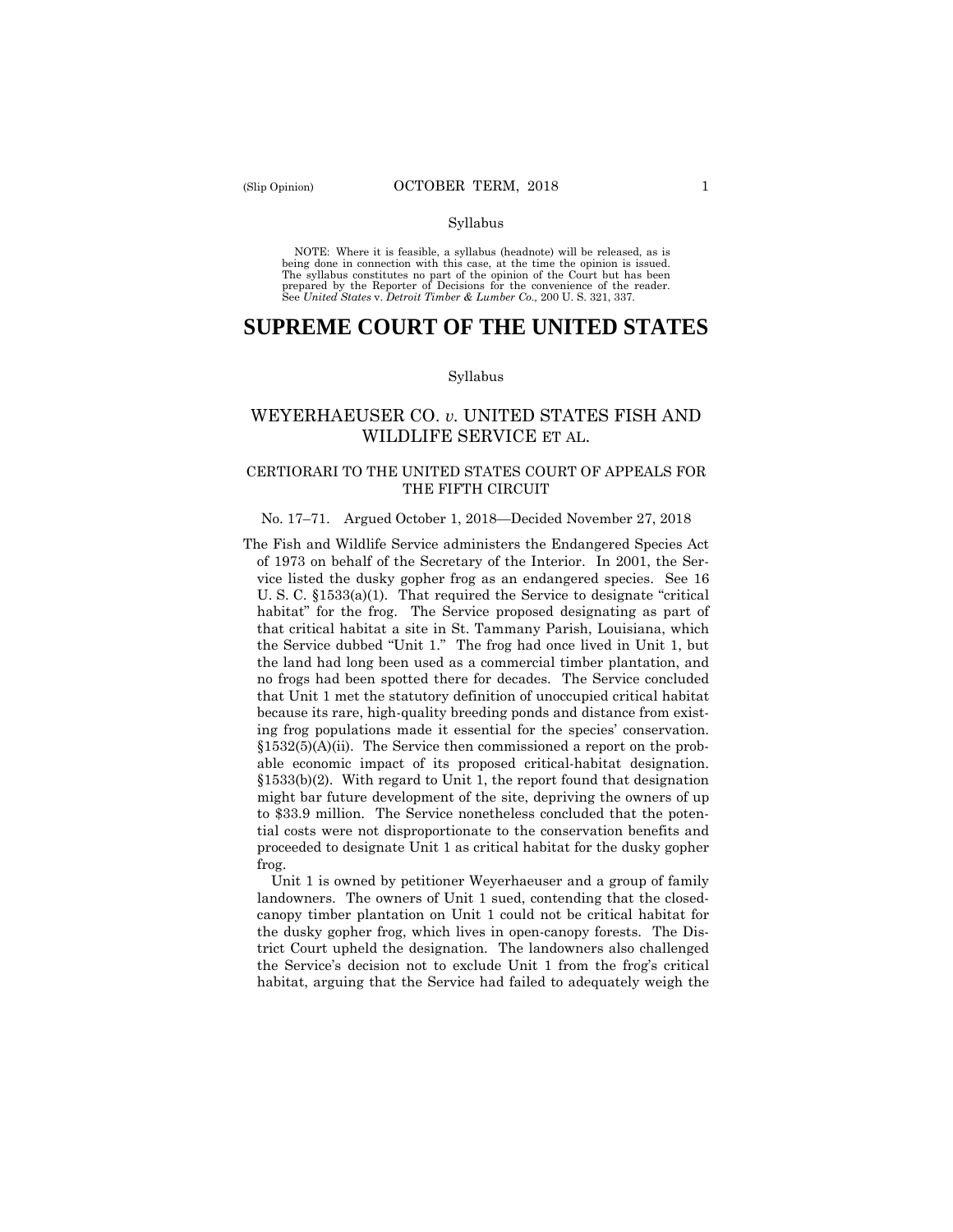#### Syllabus

 NOTE: Where it is feasible, a syllabus (headnote) will be released, as is being done in connection with this case, at the time the opinion is issued. The syllabus constitutes no part of the opinion of the Court but has been<br>prepared by the Reporter of Decisions for the convenience of the reader.<br>See United States v. Detroit Timber & Lumber Co., 200 U. S. 321, 337.

# **SUPREME COURT OF THE UNITED STATES**

#### Syllabus

# WEYERHAEUSER CO. *v.* UNITED STATES FISH AND WILDLIFE SERVICE ET AL.

# CERTIORARI TO THE UNITED STATES COURT OF APPEALS FOR THE FIFTH CIRCUIT

### No. 17–71. Argued October 1, 2018—Decided November 27, 2018

 able economic impact of its proposed critical-habitat designation. The Fish and Wildlife Service administers the Endangered Species Act of 1973 on behalf of the Secretary of the Interior. In 2001, the Service listed the dusky gopher frog as an endangered species. See 16 U. S. C. §1533(a)(1). That required the Service to designate "critical habitat" for the frog. The Service proposed designating as part of that critical habitat a site in St. Tammany Parish, Louisiana, which the Service dubbed "Unit 1." The frog had once lived in Unit 1, but the land had long been used as a commercial timber plantation, and no frogs had been spotted there for decades. The Service concluded that Unit 1 met the statutory definition of unoccupied critical habitat because its rare, high-quality breeding ponds and distance from existing frog populations made it essential for the species' conservation.  $§1532(5)(A)(ii)$ . The Service then commissioned a report on the prob-§1533(b)(2). With regard to Unit 1, the report found that designation might bar future development of the site, depriving the owners of up to \$33.9 million. The Service nonetheless concluded that the potential costs were not disproportionate to the conservation benefits and proceeded to designate Unit 1 as critical habitat for the dusky gopher frog.

Unit 1 is owned by petitioner Weyerhaeuser and a group of family landowners. The owners of Unit 1 sued, contending that the closedcanopy timber plantation on Unit 1 could not be critical habitat for the dusky gopher frog, which lives in open-canopy forests. The District Court upheld the designation. The landowners also challenged the Service's decision not to exclude Unit 1 from the frog's critical habitat, arguing that the Service had failed to adequately weigh the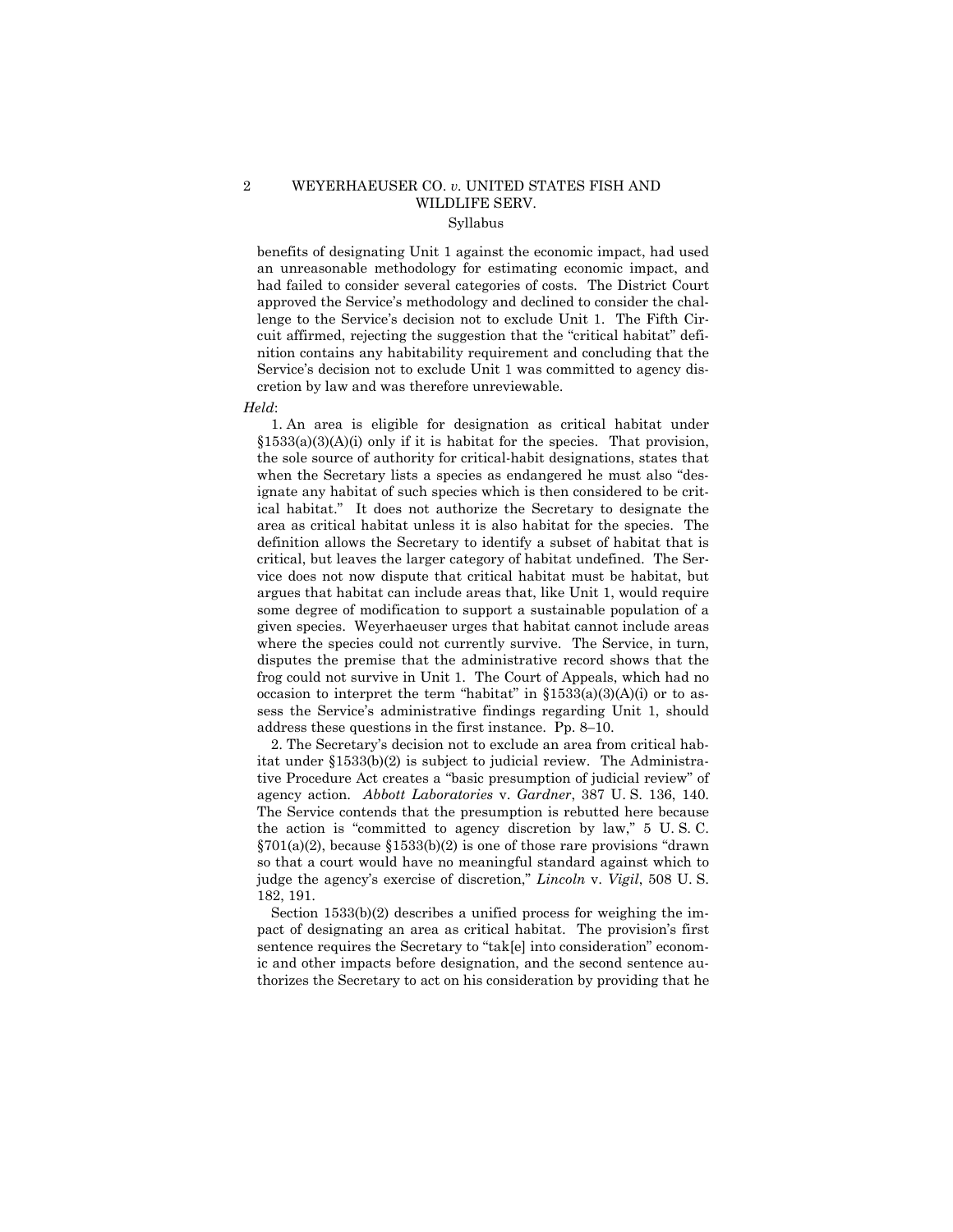# 2 WEYERHAEUSER CO. *v.* UNITED STATES FISH AND WILDLIFE SERV. Syllabus

benefits of designating Unit 1 against the economic impact, had used an unreasonable methodology for estimating economic impact, and had failed to consider several categories of costs. The District Court approved the Service's methodology and declined to consider the challenge to the Service's decision not to exclude Unit 1. The Fifth Circuit affirmed, rejecting the suggestion that the "critical habitat" definition contains any habitability requirement and concluding that the Service's decision not to exclude Unit 1 was committed to agency discretion by law and was therefore unreviewable.

#### *Held*:

 some degree of modification to support a sustainable population of a 1. An area is eligible for designation as critical habitat under  $§1533(a)(3)(A)(i)$  only if it is habitat for the species. That provision, the sole source of authority for critical-habit designations, states that when the Secretary lists a species as endangered he must also "designate any habitat of such species which is then considered to be critical habitat." It does not authorize the Secretary to designate the area as critical habitat unless it is also habitat for the species. The definition allows the Secretary to identify a subset of habitat that is critical, but leaves the larger category of habitat undefined. The Service does not now dispute that critical habitat must be habitat, but argues that habitat can include areas that, like Unit 1, would require given species. Weyerhaeuser urges that habitat cannot include areas where the species could not currently survive. The Service, in turn, disputes the premise that the administrative record shows that the frog could not survive in Unit 1. The Court of Appeals, which had no occasion to interpret the term "habitat" in  $\S 1533(a)(3)(A)(i)$  or to assess the Service's administrative findings regarding Unit 1, should address these questions in the first instance. Pp. 8–10.

 tive Procedure Act creates a "basic presumption of judicial review" of the action is "committed to agency discretion by law," 5 U. S. C. 2. The Secretary's decision not to exclude an area from critical habitat under §1533(b)(2) is subject to judicial review. The Administraagency action. *Abbott Laboratories* v. *Gardner*, 387 U. S. 136, 140. The Service contends that the presumption is rebutted here because  $\S 701(a)(2)$ , because  $\S 1533(b)(2)$  is one of those rare provisions "drawn" so that a court would have no meaningful standard against which to judge the agency's exercise of discretion," *Lincoln* v. *Vigil*, 508 U. S. 182, 191.

Section 1533(b)(2) describes a unified process for weighing the impact of designating an area as critical habitat. The provision's first sentence requires the Secretary to "tak[e] into consideration" economic and other impacts before designation, and the second sentence authorizes the Secretary to act on his consideration by providing that he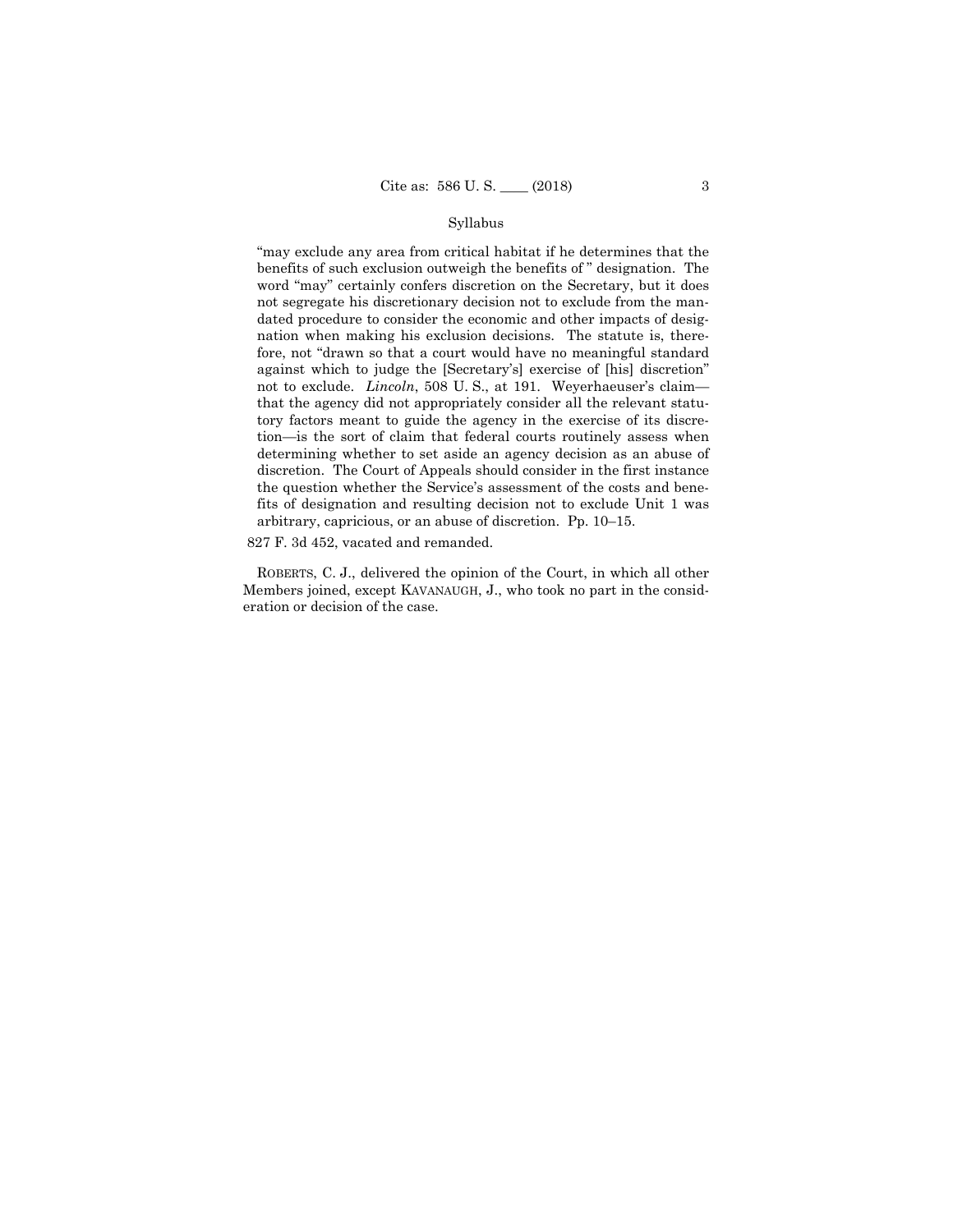# Syllabus

"may exclude any area from critical habitat if he determines that the benefits of such exclusion outweigh the benefits of " designation. The word "may" certainly confers discretion on the Secretary, but it does not segregate his discretionary decision not to exclude from the mandated procedure to consider the economic and other impacts of designation when making his exclusion decisions. The statute is, therefore, not "drawn so that a court would have no meaningful standard against which to judge the [Secretary's] exercise of [his] discretion" not to exclude. *Lincoln*, 508 U. S., at 191. Weyerhaeuser's claim that the agency did not appropriately consider all the relevant statutory factors meant to guide the agency in the exercise of its discretion—is the sort of claim that federal courts routinely assess when determining whether to set aside an agency decision as an abuse of discretion. The Court of Appeals should consider in the first instance the question whether the Service's assessment of the costs and benefits of designation and resulting decision not to exclude Unit 1 was arbitrary, capricious, or an abuse of discretion. Pp. 10–15.

827 F. 3d 452, vacated and remanded.

ROBERTS, C. J., delivered the opinion of the Court, in which all other Members joined, except KAVANAUGH, J., who took no part in the consideration or decision of the case.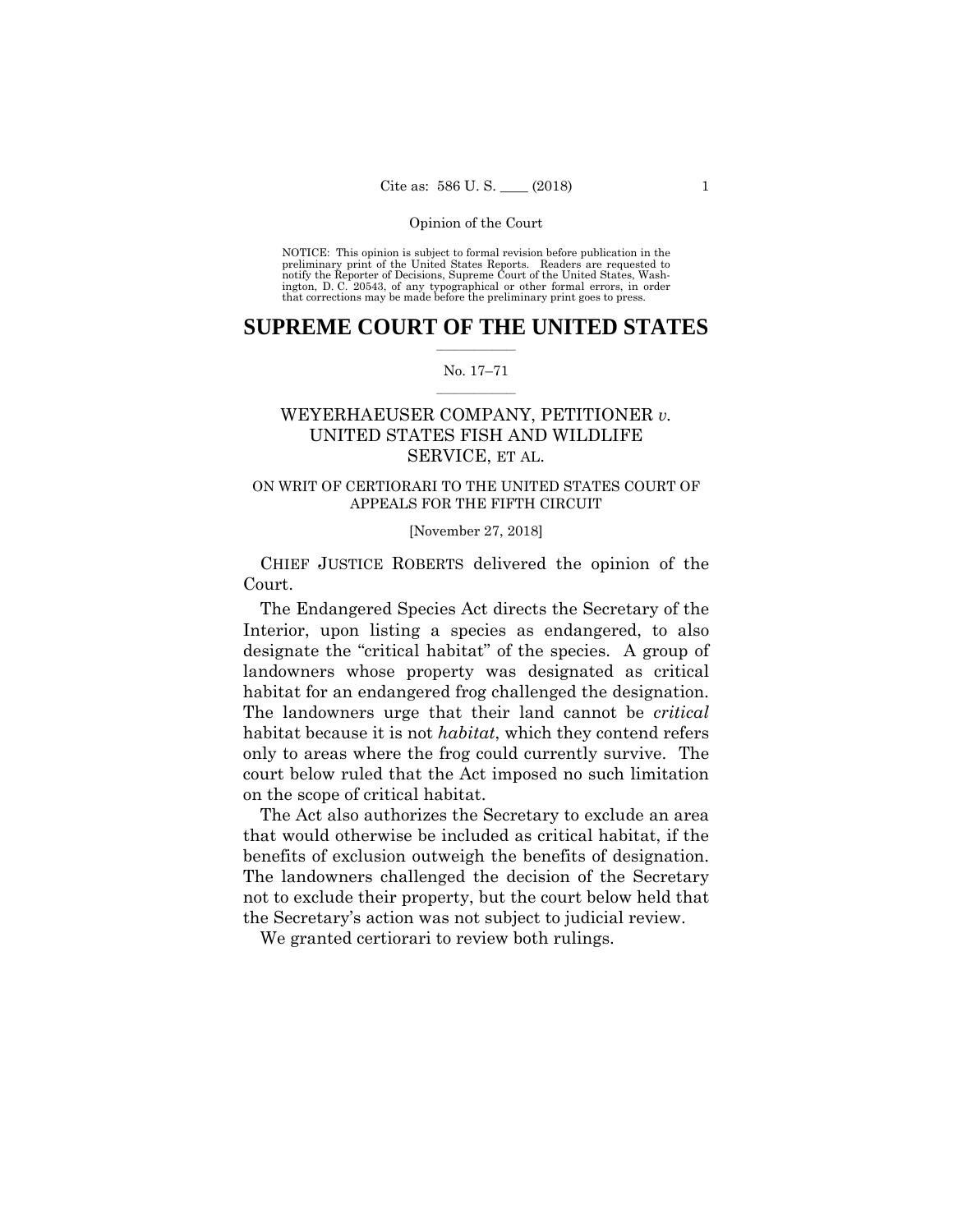preliminary print of the United States Reports. Readers are requested to notify the Reporter of Decisions, Supreme Court of the United States, Wash- ington, D. C. 20543, of any typographical or other formal errors, in order that corrections may be made before the preliminary print goes to press. NOTICE: This opinion is subject to formal revision before publication in the

# $\frac{1}{2}$  ,  $\frac{1}{2}$  ,  $\frac{1}{2}$  ,  $\frac{1}{2}$  ,  $\frac{1}{2}$  ,  $\frac{1}{2}$  ,  $\frac{1}{2}$ **SUPREME COURT OF THE UNITED STATES**

### $\frac{1}{2}$  ,  $\frac{1}{2}$  ,  $\frac{1}{2}$  ,  $\frac{1}{2}$  ,  $\frac{1}{2}$  ,  $\frac{1}{2}$ No. 17–71

# WEYERHAEUSER COMPANY, PETITIONER *v.* UNITED STATES FISH AND WILDLIFE SERVICE, ET AL.

# ON WRIT OF CERTIORARI TO THE UNITED STATES COURT OF APPEALS FOR THE FIFTH CIRCUIT

## [November 27, 2018]

 CHIEF JUSTICE ROBERTS delivered the opinion of the Court.

 habitat for an endangered frog challenged the designation. The Endangered Species Act directs the Secretary of the Interior, upon listing a species as endangered, to also designate the "critical habitat" of the species. A group of landowners whose property was designated as critical The landowners urge that their land cannot be *critical*  habitat because it is not *habitat*, which they contend refers only to areas where the frog could currently survive. The court below ruled that the Act imposed no such limitation on the scope of critical habitat.

The Act also authorizes the Secretary to exclude an area that would otherwise be included as critical habitat, if the benefits of exclusion outweigh the benefits of designation. The landowners challenged the decision of the Secretary not to exclude their property, but the court below held that the Secretary's action was not subject to judicial review.

We granted certiorari to review both rulings.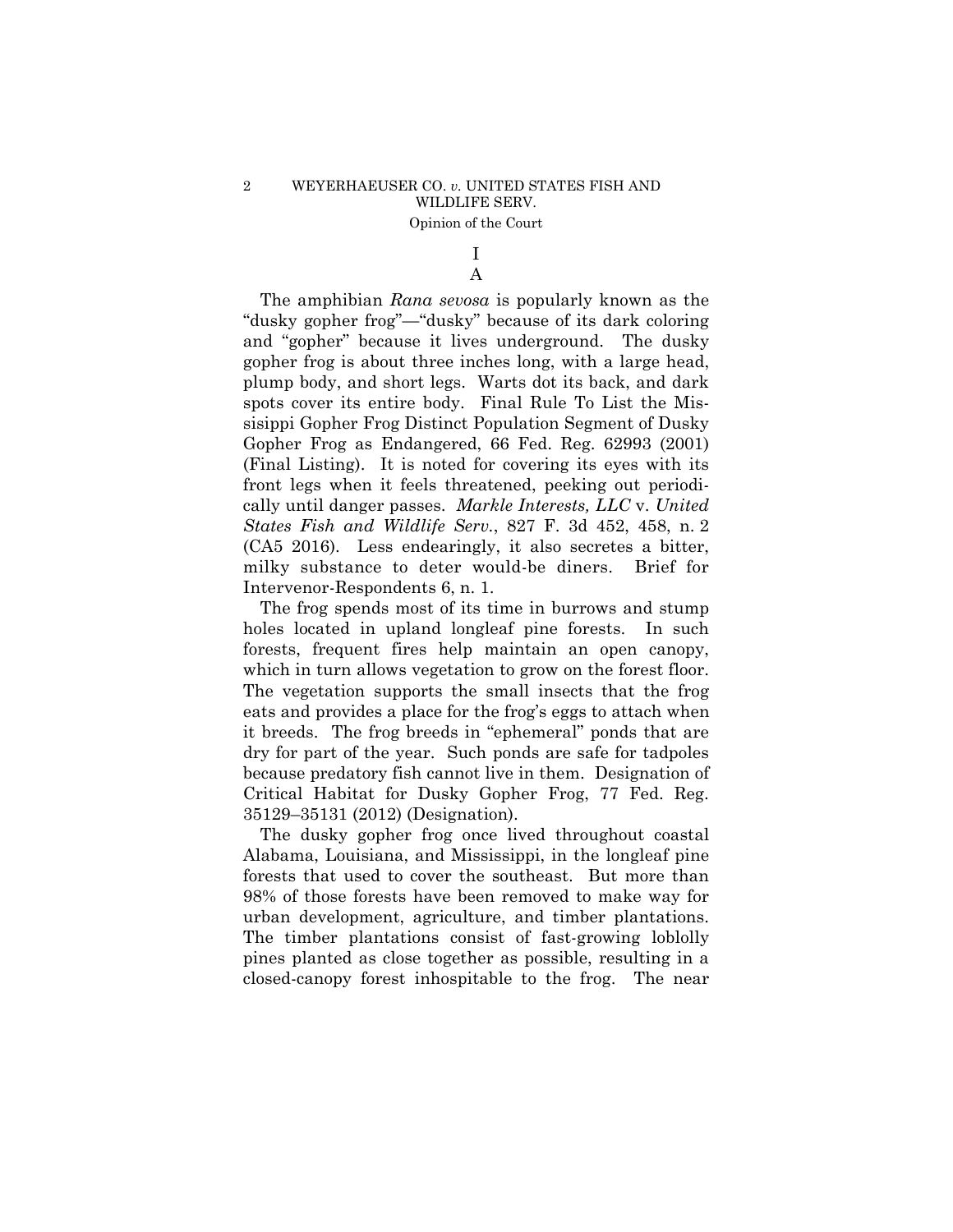# I A

 cally until danger passes. *Markle Interests, LLC* v. *United*  milky substance to deter would-be diners. Brief for The amphibian *Rana sevosa* is popularly known as the "dusky gopher frog"—"dusky" because of its dark coloring and "gopher" because it lives underground. The dusky gopher frog is about three inches long, with a large head, plump body, and short legs. Warts dot its back, and dark spots cover its entire body. Final Rule To List the Missisippi Gopher Frog Distinct Population Segment of Dusky Gopher Frog as Endangered, 66 Fed. Reg. 62993 (2001) (Final Listing). It is noted for covering its eyes with its front legs when it feels threatened, peeking out periodi-*States Fish and Wildlife Serv.*, 827 F. 3d 452, 458, n. 2 (CA5 2016). Less endearingly, it also secretes a bitter, Intervenor-Respondents 6, n. 1.

The frog spends most of its time in burrows and stump holes located in upland longleaf pine forests. In such forests, frequent fires help maintain an open canopy, which in turn allows vegetation to grow on the forest floor. The vegetation supports the small insects that the frog eats and provides a place for the frog's eggs to attach when it breeds. The frog breeds in "ephemeral" ponds that are dry for part of the year. Such ponds are safe for tadpoles because predatory fish cannot live in them. Designation of Critical Habitat for Dusky Gopher Frog, 77 Fed. Reg. 35129–35131 (2012) (Designation).

The dusky gopher frog once lived throughout coastal Alabama, Louisiana, and Mississippi, in the longleaf pine forests that used to cover the southeast. But more than 98% of those forests have been removed to make way for urban development, agriculture, and timber plantations. The timber plantations consist of fast-growing loblolly pines planted as close together as possible, resulting in a closed-canopy forest inhospitable to the frog. The near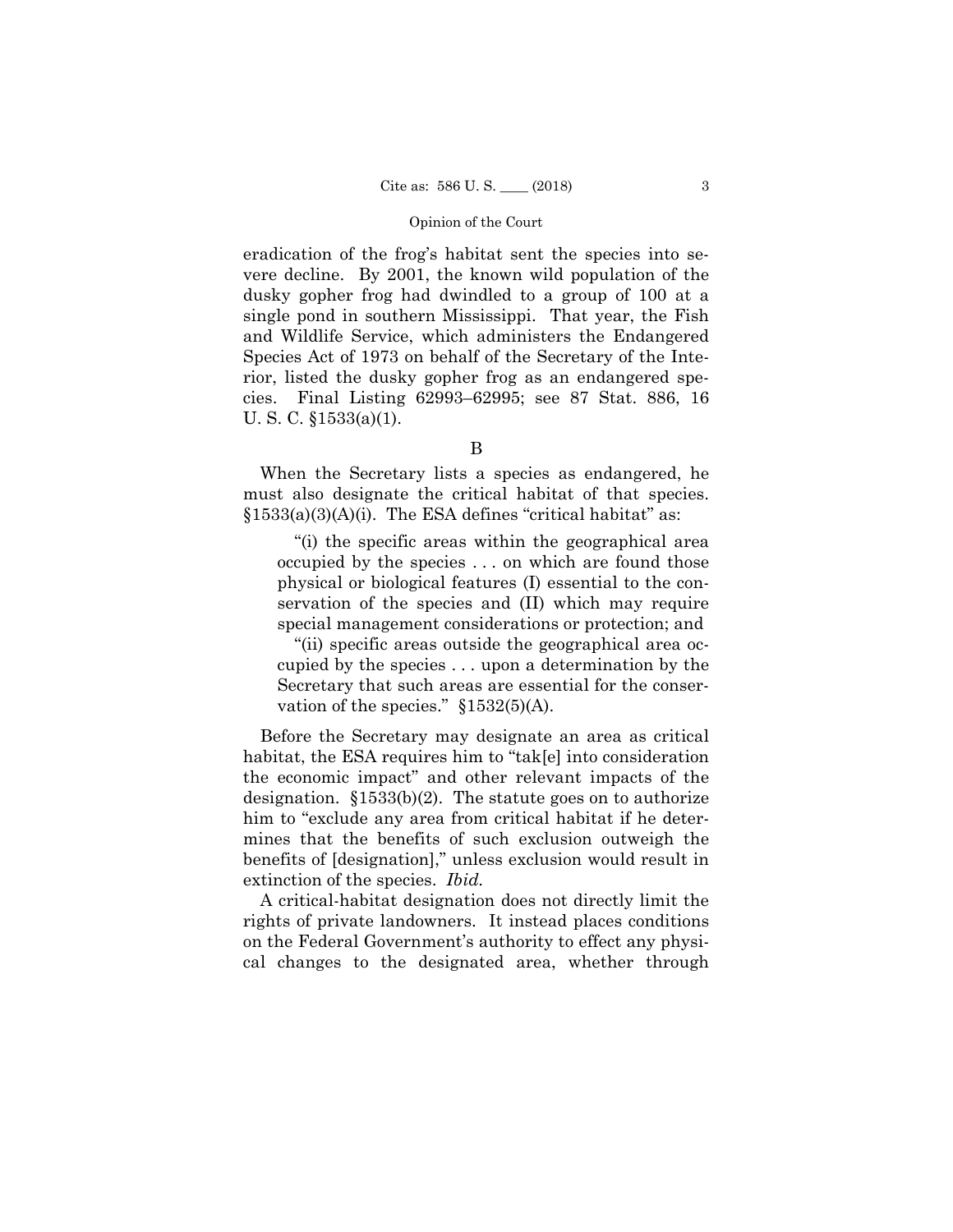eradication of the frog's habitat sent the species into severe decline. By 2001, the known wild population of the dusky gopher frog had dwindled to a group of 100 at a single pond in southern Mississippi. That year, the Fish and Wildlife Service, which administers the Endangered Species Act of 1973 on behalf of the Secretary of the Interior, listed the dusky gopher frog as an endangered species. Final Listing 62993–62995; see 87 Stat. 886, 16 U. S. C. §1533(a)(1).

When the Secretary lists a species as endangered, he must also designate the critical habitat of that species.  $§1533(a)(3)(A)(i)$ . The ESA defines "critical habitat" as:

"(i) the specific areas within the geographical area occupied by the species . . . on which are found those physical or biological features (I) essential to the conservation of the species and (II) which may require special management considerations or protection; and

"(ii) specific areas outside the geographical area occupied by the species . . . upon a determination by the Secretary that such areas are essential for the conservation of the species."  $$1532(5)(A)$ .

Before the Secretary may designate an area as critical habitat, the ESA requires him to "tak[e] into consideration the economic impact" and other relevant impacts of the designation. §1533(b)(2). The statute goes on to authorize him to "exclude any area from critical habitat if he determines that the benefits of such exclusion outweigh the benefits of [designation]," unless exclusion would result in extinction of the species. *Ibid.* 

A critical-habitat designation does not directly limit the rights of private landowners. It instead places conditions on the Federal Government's authority to effect any physical changes to the designated area, whether through

B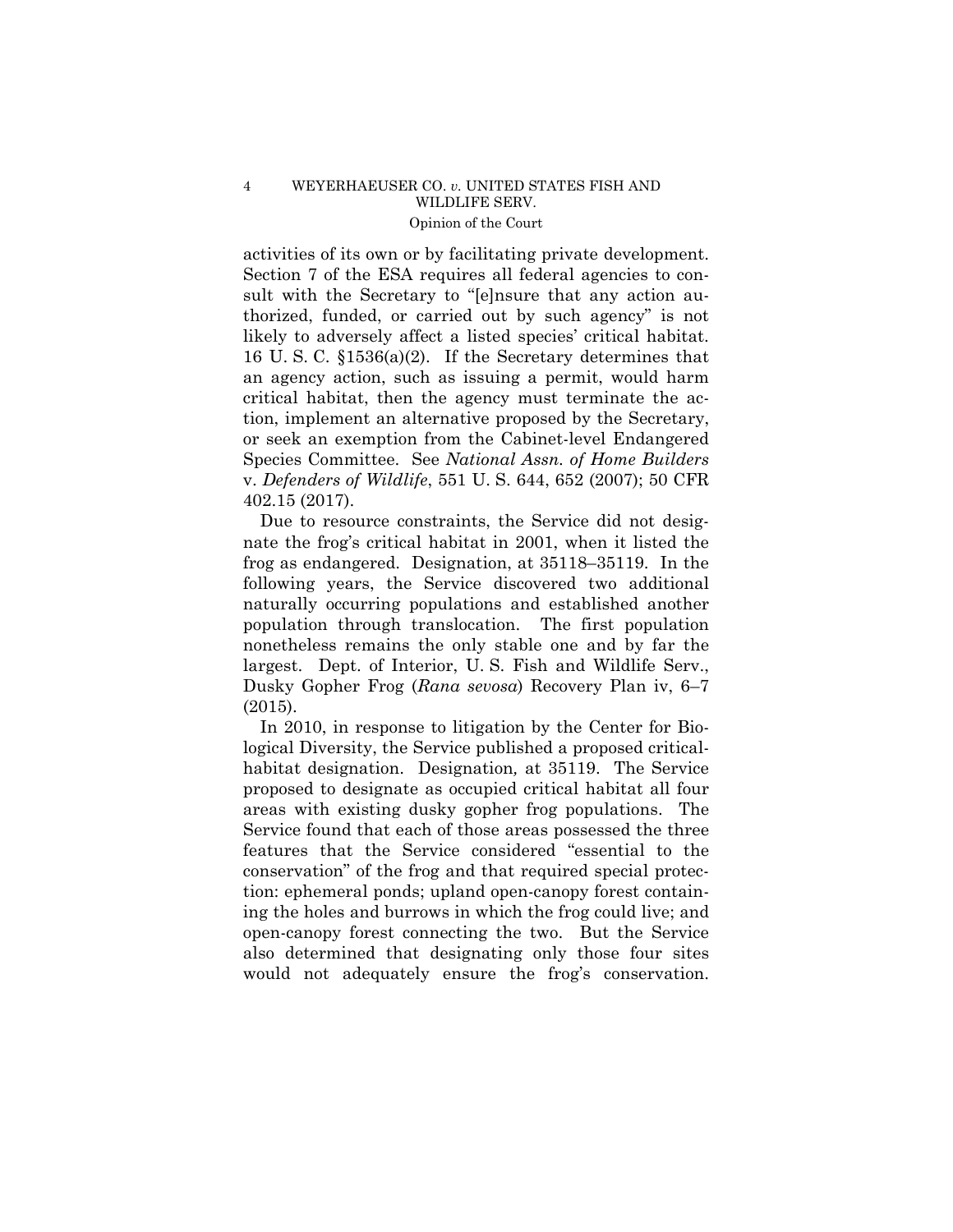activities of its own or by facilitating private development. Section 7 of the ESA requires all federal agencies to consult with the Secretary to "[e]nsure that any action authorized, funded, or carried out by such agency" is not likely to adversely affect a listed species' critical habitat. 16 U. S. C. §1536(a)(2). If the Secretary determines that an agency action, such as issuing a permit, would harm critical habitat, then the agency must terminate the action, implement an alternative proposed by the Secretary, or seek an exemption from the Cabinet-level Endangered Species Committee. See *National Assn. of Home Builders*  v. *Defenders of Wildlife*, 551 U. S. 644, 652 (2007); 50 CFR 402.15 (2017).

Due to resource constraints, the Service did not designate the frog's critical habitat in 2001, when it listed the frog as endangered. Designation, at 35118–35119. In the following years, the Service discovered two additional naturally occurring populations and established another population through translocation. The first population nonetheless remains the only stable one and by far the largest. Dept. of Interior, U. S. Fish and Wildlife Serv., Dusky Gopher Frog (*Rana sevosa*) Recovery Plan iv, 6–7 (2015).

In 2010, in response to litigation by the Center for Biological Diversity, the Service published a proposed criticalhabitat designation. Designation*,* at 35119. The Service proposed to designate as occupied critical habitat all four areas with existing dusky gopher frog populations. The Service found that each of those areas possessed the three features that the Service considered "essential to the conservation" of the frog and that required special protection: ephemeral ponds; upland open-canopy forest containing the holes and burrows in which the frog could live; and open-canopy forest connecting the two. But the Service also determined that designating only those four sites would not adequately ensure the frog's conservation.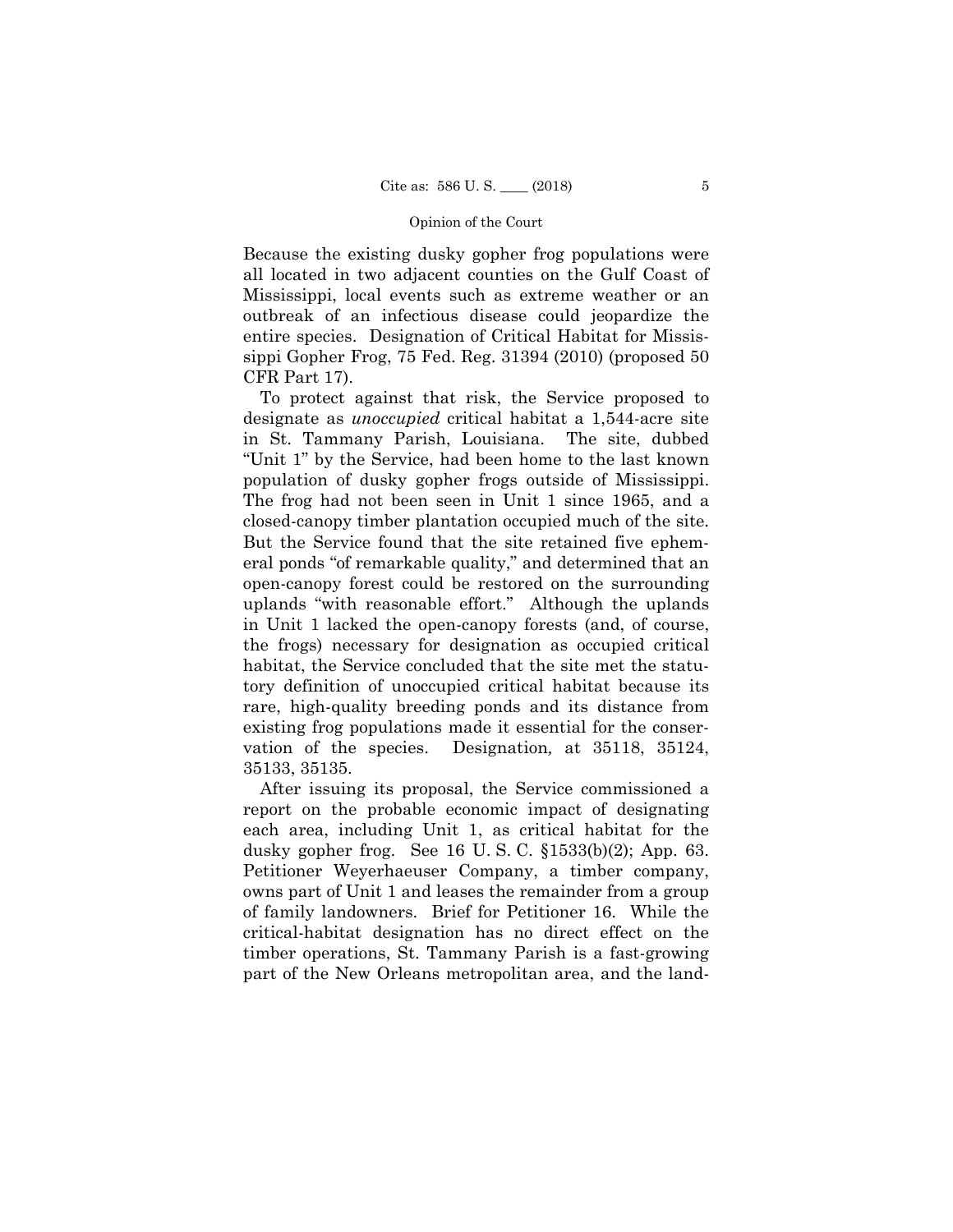Because the existing dusky gopher frog populations were all located in two adjacent counties on the Gulf Coast of Mississippi, local events such as extreme weather or an outbreak of an infectious disease could jeopardize the entire species. Designation of Critical Habitat for Mississippi Gopher Frog, 75 Fed. Reg. 31394 (2010) (proposed 50 CFR Part 17).

To protect against that risk, the Service proposed to designate as *unoccupied* critical habitat a 1,544-acre site in St. Tammany Parish, Louisiana. The site, dubbed "Unit 1" by the Service, had been home to the last known population of dusky gopher frogs outside of Mississippi. The frog had not been seen in Unit 1 since 1965, and a closed-canopy timber plantation occupied much of the site. But the Service found that the site retained five ephemeral ponds "of remarkable quality," and determined that an open-canopy forest could be restored on the surrounding uplands "with reasonable effort." Although the uplands in Unit 1 lacked the open-canopy forests (and, of course, the frogs) necessary for designation as occupied critical habitat, the Service concluded that the site met the statutory definition of unoccupied critical habitat because its rare, high-quality breeding ponds and its distance from existing frog populations made it essential for the conservation of the species. Designation*,* at 35118, 35124, 35133, 35135.

After issuing its proposal, the Service commissioned a report on the probable economic impact of designating each area, including Unit 1, as critical habitat for the dusky gopher frog. See 16 U. S. C. §1533(b)(2); App. 63. Petitioner Weyerhaeuser Company, a timber company, owns part of Unit 1 and leases the remainder from a group of family landowners. Brief for Petitioner 16. While the critical-habitat designation has no direct effect on the timber operations, St. Tammany Parish is a fast-growing part of the New Orleans metropolitan area, and the land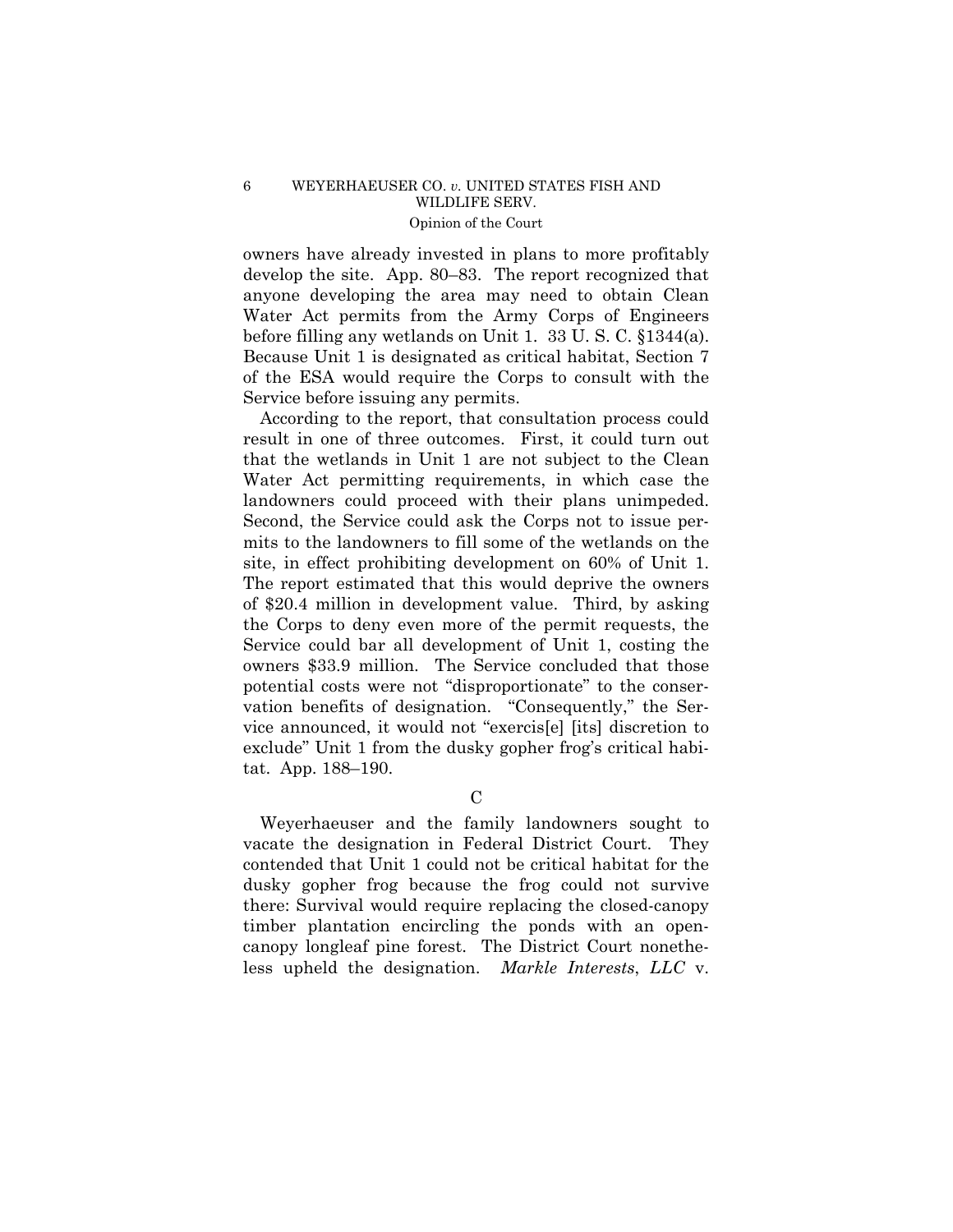owners have already invested in plans to more profitably develop the site. App. 80–83. The report recognized that anyone developing the area may need to obtain Clean Water Act permits from the Army Corps of Engineers before filling any wetlands on Unit 1. 33 U. S. C. §1344(a). Because Unit 1 is designated as critical habitat, Section 7 of the ESA would require the Corps to consult with the Service before issuing any permits.

According to the report, that consultation process could result in one of three outcomes. First, it could turn out that the wetlands in Unit 1 are not subject to the Clean Water Act permitting requirements, in which case the landowners could proceed with their plans unimpeded. Second, the Service could ask the Corps not to issue permits to the landowners to fill some of the wetlands on the site, in effect prohibiting development on 60% of Unit 1. The report estimated that this would deprive the owners of \$20.4 million in development value. Third, by asking the Corps to deny even more of the permit requests, the Service could bar all development of Unit 1, costing the owners \$33.9 million. The Service concluded that those potential costs were not "disproportionate" to the conservation benefits of designation. "Consequently," the Service announced, it would not "exercis[e] [its] discretion to exclude" Unit 1 from the dusky gopher frog's critical habitat. App. 188–190.

 $\mathcal{C}$ 

Weyerhaeuser and the family landowners sought to vacate the designation in Federal District Court. They contended that Unit 1 could not be critical habitat for the dusky gopher frog because the frog could not survive there: Survival would require replacing the closed-canopy timber plantation encircling the ponds with an opencanopy longleaf pine forest. The District Court nonetheless upheld the designation. *Markle Interests*, *LLC* v.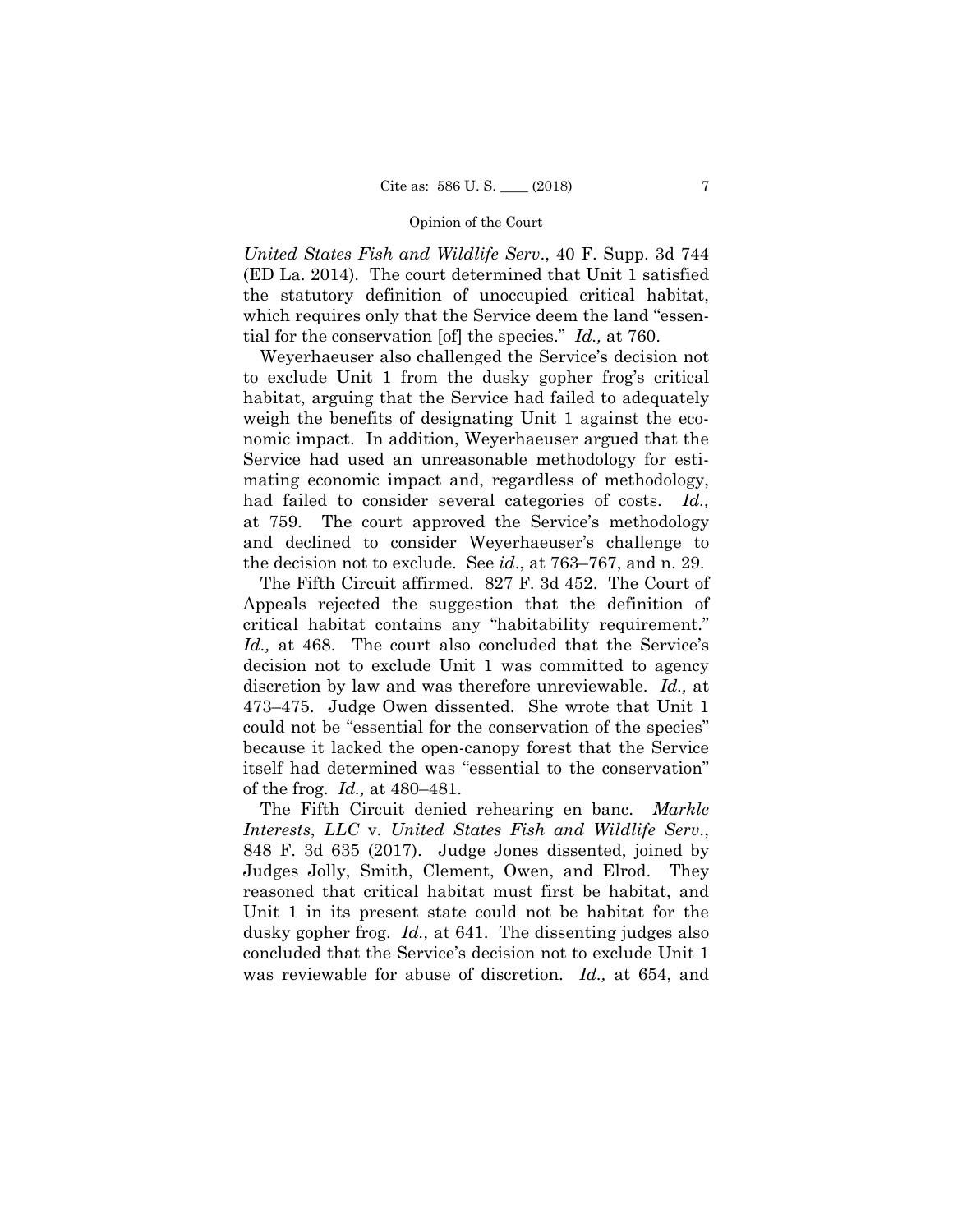*United States Fish and Wildlife Serv*., 40 F. Supp. 3d 744 (ED La. 2014). The court determined that Unit 1 satisfied the statutory definition of unoccupied critical habitat, which requires only that the Service deem the land "essential for the conservation [of] the species." *Id.,* at 760.

Weyerhaeuser also challenged the Service's decision not to exclude Unit 1 from the dusky gopher frog's critical habitat, arguing that the Service had failed to adequately weigh the benefits of designating Unit 1 against the economic impact. In addition, Weyerhaeuser argued that the Service had used an unreasonable methodology for estimating economic impact and, regardless of methodology, had failed to consider several categories of costs. *Id.,* at 759. The court approved the Service's methodology and declined to consider Weyerhaeuser's challenge to the decision not to exclude. See *id*., at 763–767, and n. 29.

The Fifth Circuit affirmed. 827 F. 3d 452. The Court of Appeals rejected the suggestion that the definition of critical habitat contains any "habitability requirement." *Id.,* at 468. The court also concluded that the Service's decision not to exclude Unit 1 was committed to agency discretion by law and was therefore unreviewable. *Id.,* at 473–475. Judge Owen dissented. She wrote that Unit 1 could not be "essential for the conservation of the species" because it lacked the open-canopy forest that the Service itself had determined was "essential to the conservation" of the frog. *Id.,* at 480–481.

The Fifth Circuit denied rehearing en banc. *Markle Interests*, *LLC* v. *United States Fish and Wildlife Serv*., 848 F. 3d 635 (2017). Judge Jones dissented, joined by Judges Jolly, Smith, Clement, Owen, and Elrod. They reasoned that critical habitat must first be habitat, and Unit 1 in its present state could not be habitat for the dusky gopher frog. *Id.,* at 641. The dissenting judges also concluded that the Service's decision not to exclude Unit 1 was reviewable for abuse of discretion. *Id.,* at 654, and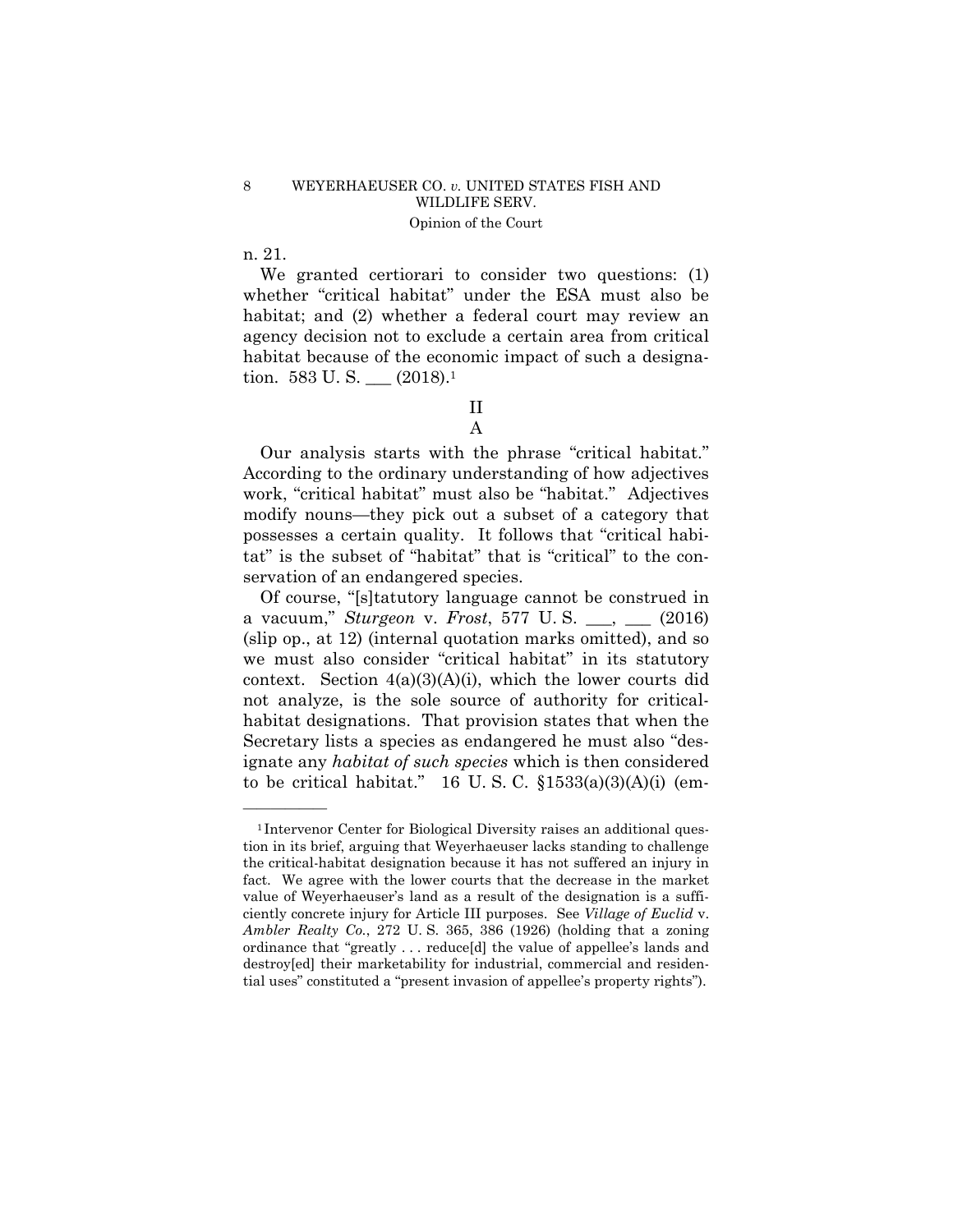n. 21.

——————

We granted certiorari to consider two questions: (1) whether "critical habitat" under the ESA must also be habitat; and (2) whether a federal court may review an agency decision not to exclude a certain area from critical habitat because of the economic impact of such a designation. 583 U.S. \_\_ (2018).<sup>1</sup>

II

A

Our analysis starts with the phrase "critical habitat." According to the ordinary understanding of how adjectives work, "critical habitat" must also be "habitat." Adjectives modify nouns—they pick out a subset of a category that possesses a certain quality. It follows that "critical habitat" is the subset of "habitat" that is "critical" to the conservation of an endangered species.

Of course, "[s]tatutory language cannot be construed in a vacuum," *Sturgeon* v. *Frost*, 577 U. S. \_\_\_, \_\_\_ (2016) (slip op., at 12) (internal quotation marks omitted), and so we must also consider "critical habitat" in its statutory context. Section 4(a)(3)(A)(i), which the lower courts did not analyze, is the sole source of authority for criticalhabitat designations. That provision states that when the Secretary lists a species as endangered he must also "designate any *habitat of such species* which is then considered to be critical habitat." 16 U.S.C.  $\S 1533(a)(3)(A)(i)$  (em-

<sup>&</sup>lt;sup>1</sup>Intervenor Center for Biological Diversity raises an additional question in its brief, arguing that Weyerhaeuser lacks standing to challenge the critical-habitat designation because it has not suffered an injury in fact. We agree with the lower courts that the decrease in the market value of Weyerhaeuser's land as a result of the designation is a sufficiently concrete injury for Article III purposes. See *Village of Euclid* v. *Ambler Realty Co.*, 272 U. S. 365, 386 (1926) (holding that a zoning ordinance that "greatly . . . reduce[d] the value of appellee's lands and destroy[ed] their marketability for industrial, commercial and residential uses" constituted a "present invasion of appellee's property rights").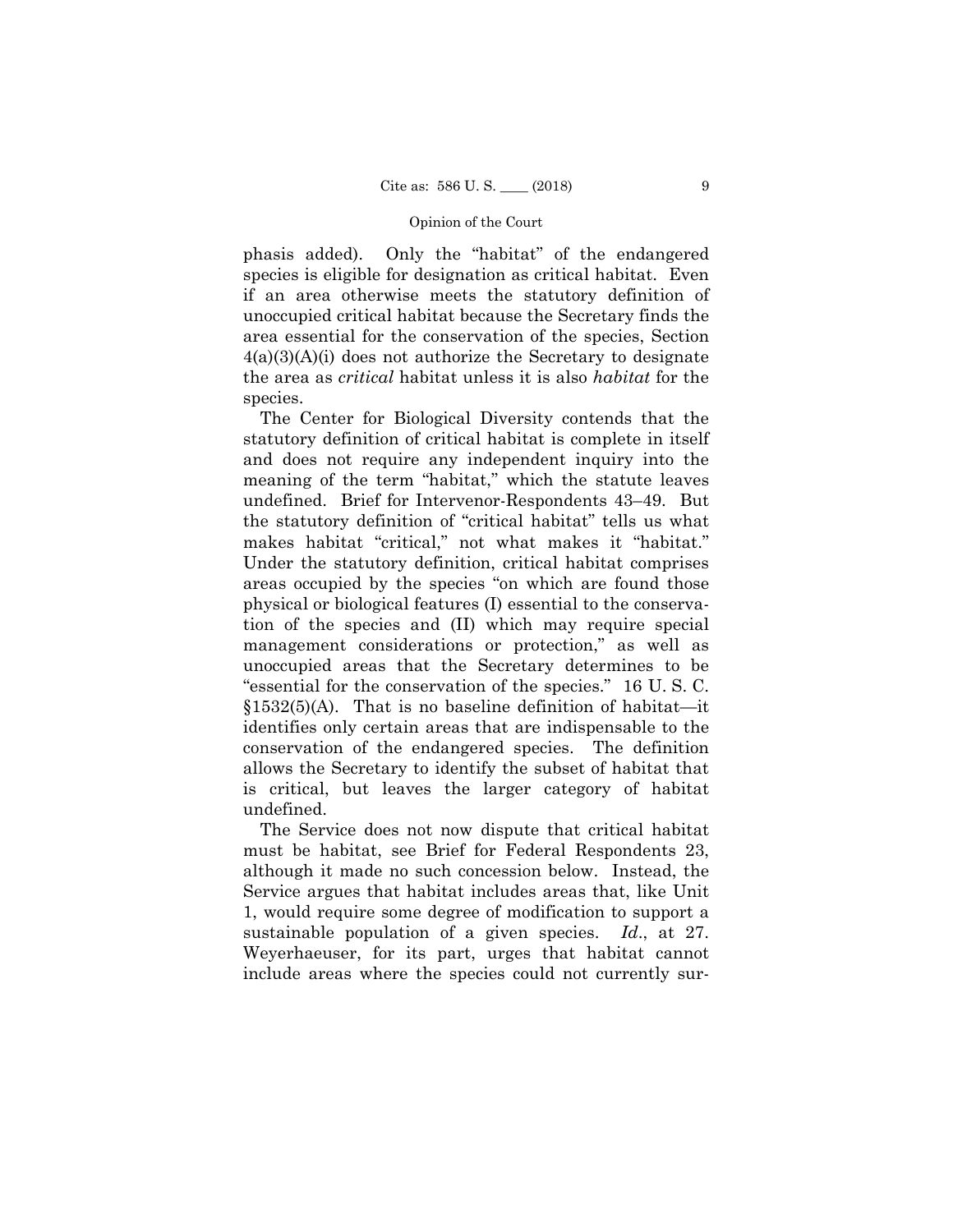phasis added). Only the "habitat" of the endangered species is eligible for designation as critical habitat. Even if an area otherwise meets the statutory definition of unoccupied critical habitat because the Secretary finds the area essential for the conservation of the species, Section 4(a)(3)(A)(i) does not authorize the Secretary to designate the area as *critical* habitat unless it is also *habitat* for the species.

The Center for Biological Diversity contends that the statutory definition of critical habitat is complete in itself and does not require any independent inquiry into the meaning of the term "habitat," which the statute leaves undefined. Brief for Intervenor-Respondents 43–49. But the statutory definition of "critical habitat" tells us what makes habitat "critical," not what makes it "habitat." Under the statutory definition, critical habitat comprises areas occupied by the species "on which are found those physical or biological features (I) essential to the conservation of the species and (II) which may require special management considerations or protection," as well as unoccupied areas that the Secretary determines to be "essential for the conservation of the species." 16 U. S. C.  $§1532(5)$ (A). That is no baseline definition of habitat—it identifies only certain areas that are indispensable to the conservation of the endangered species. The definition allows the Secretary to identify the subset of habitat that is critical, but leaves the larger category of habitat undefined.

The Service does not now dispute that critical habitat must be habitat, see Brief for Federal Respondents 23, although it made no such concession below. Instead, the Service argues that habitat includes areas that, like Unit 1, would require some degree of modification to support a sustainable population of a given species. *Id*., at 27. Weyerhaeuser, for its part, urges that habitat cannot include areas where the species could not currently sur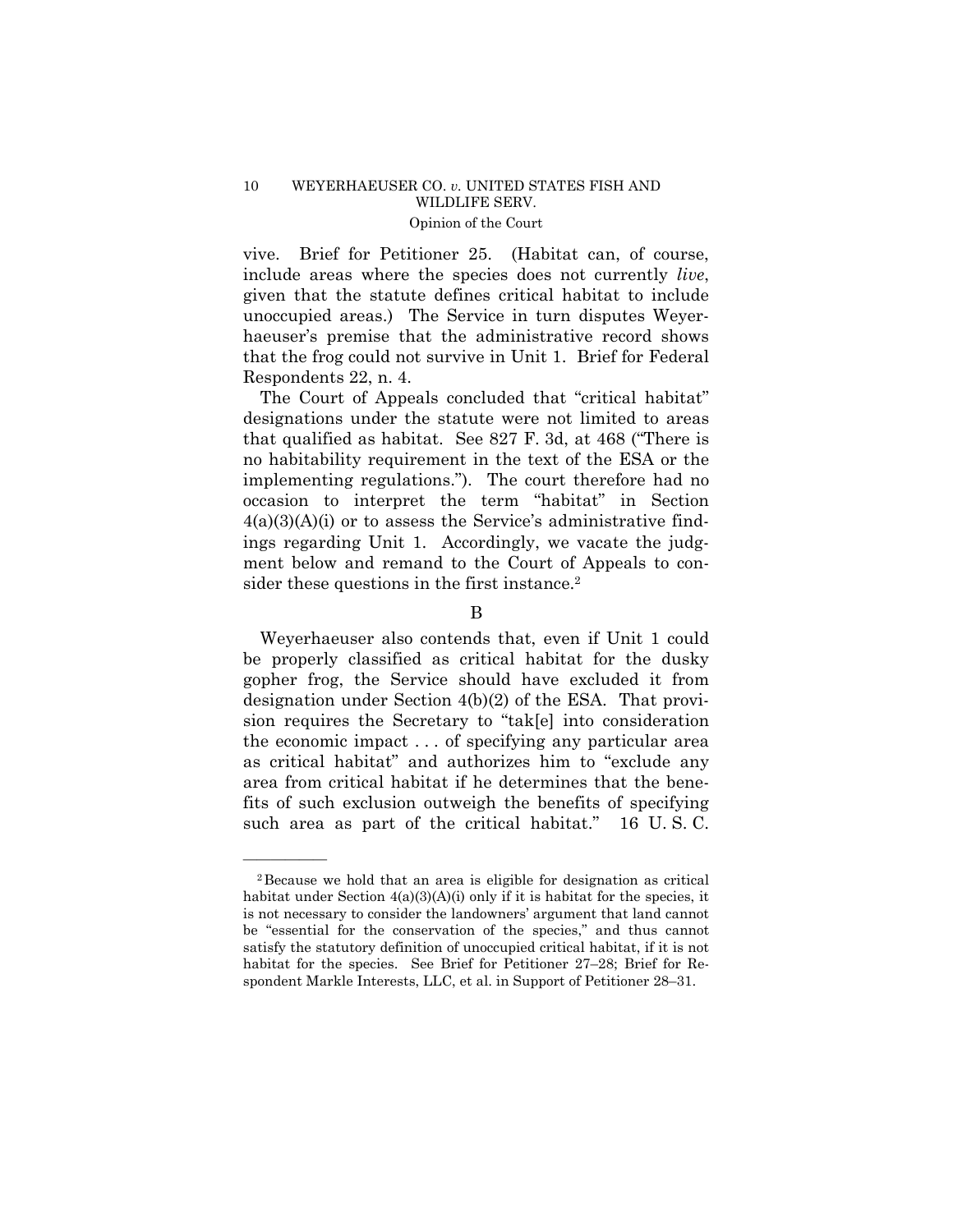vive. Brief for Petitioner 25. (Habitat can, of course, include areas where the species does not currently *live*, given that the statute defines critical habitat to include unoccupied areas.) The Service in turn disputes Weyerhaeuser's premise that the administrative record shows that the frog could not survive in Unit 1. Brief for Federal Respondents 22, n. 4.

The Court of Appeals concluded that "critical habitat" designations under the statute were not limited to areas that qualified as habitat. See 827 F. 3d, at 468 ("There is no habitability requirement in the text of the ESA or the implementing regulations."). The court therefore had no occasion to interpret the term "habitat" in Section  $4(a)(3)(A)(i)$  or to assess the Service's administrative findings regarding Unit 1. Accordingly, we vacate the judgment below and remand to the Court of Appeals to consider these questions in the first instance.<sup>2</sup>

# B

Weyerhaeuser also contends that, even if Unit 1 could be properly classified as critical habitat for the dusky gopher frog, the Service should have excluded it from designation under Section 4(b)(2) of the ESA. That provision requires the Secretary to "tak[e] into consideration the economic impact . . . of specifying any particular area as critical habitat" and authorizes him to "exclude any area from critical habitat if he determines that the benefits of such exclusion outweigh the benefits of specifying such area as part of the critical habitat." 16 U. S. C.

——————

<sup>2</sup>Because we hold that an area is eligible for designation as critical habitat under Section  $4(a)(3)(A)(i)$  only if it is habitat for the species, it is not necessary to consider the landowners' argument that land cannot be "essential for the conservation of the species," and thus cannot satisfy the statutory definition of unoccupied critical habitat, if it is not habitat for the species. See Brief for Petitioner 27–28; Brief for Respondent Markle Interests, LLC, et al. in Support of Petitioner 28–31.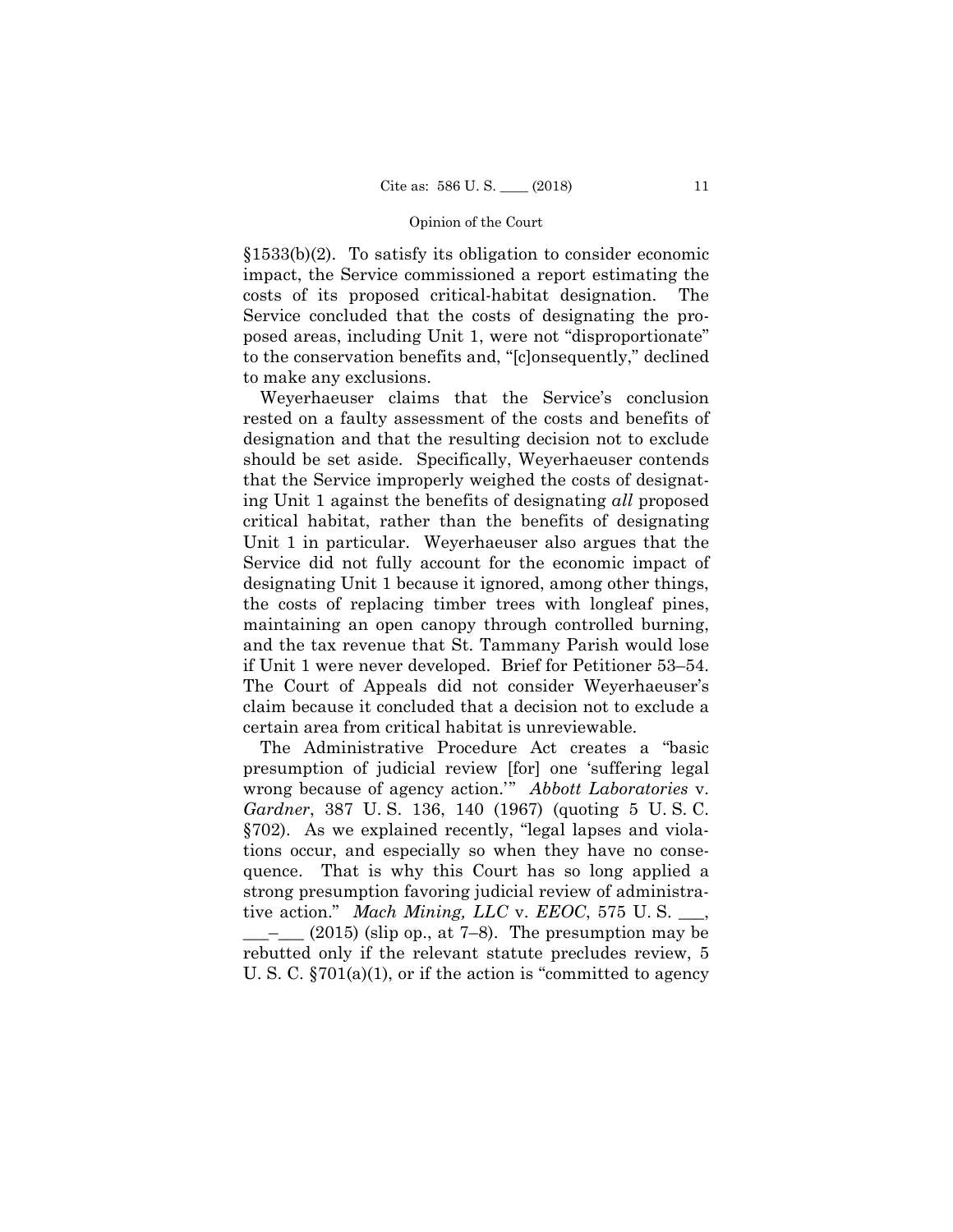§1533(b)(2). To satisfy its obligation to consider economic impact, the Service commissioned a report estimating the costs of its proposed critical-habitat designation. The Service concluded that the costs of designating the proposed areas, including Unit 1, were not "disproportionate" to the conservation benefits and, "[c]onsequently," declined to make any exclusions.

Weyerhaeuser claims that the Service's conclusion rested on a faulty assessment of the costs and benefits of designation and that the resulting decision not to exclude should be set aside. Specifically, Weyerhaeuser contends that the Service improperly weighed the costs of designating Unit 1 against the benefits of designating *all* proposed critical habitat, rather than the benefits of designating Unit 1 in particular. Weyerhaeuser also argues that the Service did not fully account for the economic impact of designating Unit 1 because it ignored, among other things, the costs of replacing timber trees with longleaf pines, maintaining an open canopy through controlled burning, and the tax revenue that St. Tammany Parish would lose if Unit 1 were never developed. Brief for Petitioner 53–54. The Court of Appeals did not consider Weyerhaeuser's claim because it concluded that a decision not to exclude a certain area from critical habitat is unreviewable.

The Administrative Procedure Act creates a "basic presumption of judicial review [for] one 'suffering legal wrong because of agency action.'" *Abbott Laboratories* v. *Gardner*, 387 U. S. 136, 140 (1967) (quoting 5 U. S. C. §702). As we explained recently, "legal lapses and violations occur, and especially so when they have no consequence. That is why this Court has so long applied a strong presumption favoring judicial review of administrative action." *Mach Mining, LLC* v. *EEOC*, 575 U. S. \_\_\_,  $(2015)$  (slip op., at 7–8). The presumption may be rebutted only if the relevant statute precludes review, 5 U. S. C. §701(a)(1), or if the action is "committed to agency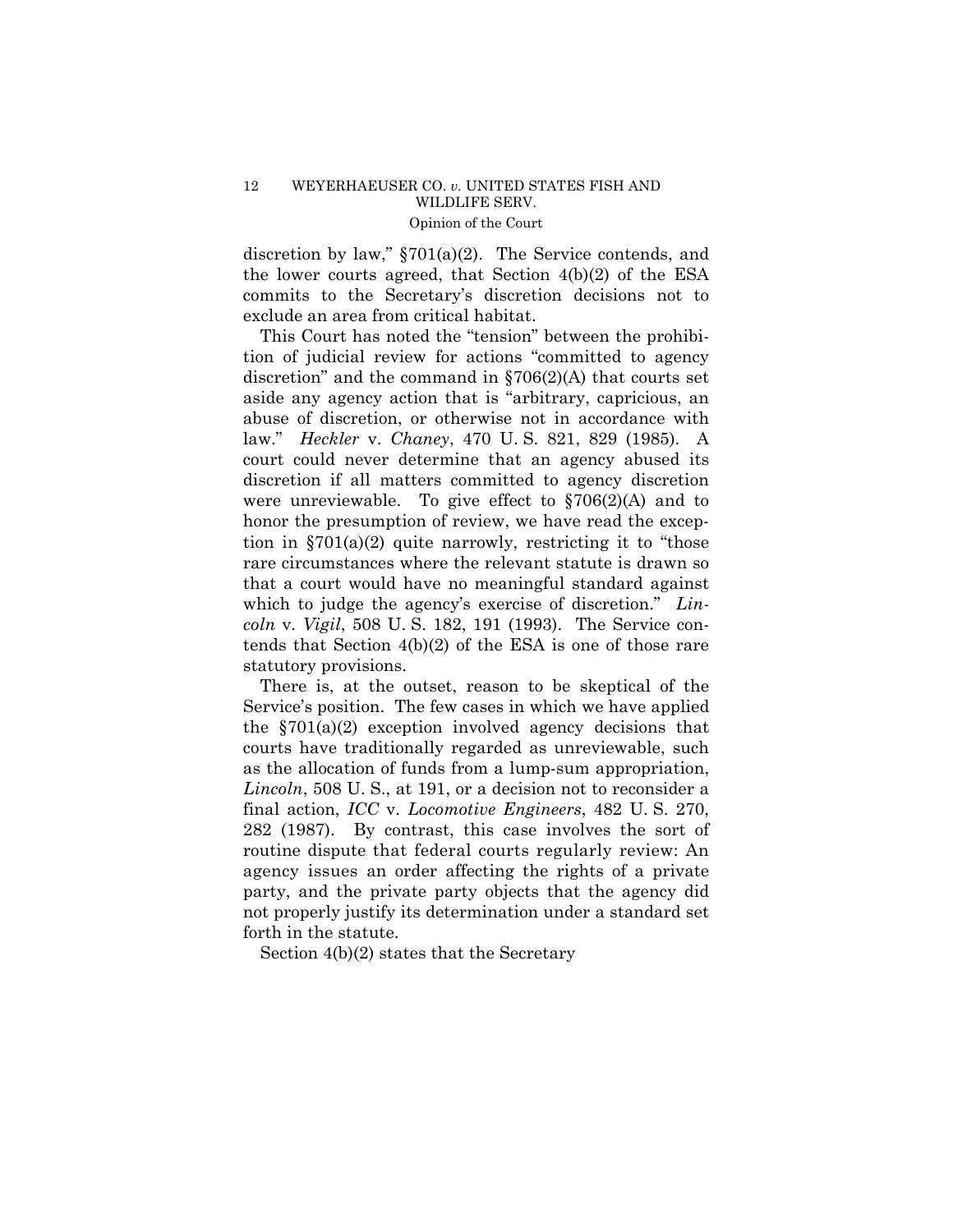discretion by law," §701(a)(2). The Service contends, and the lower courts agreed, that Section 4(b)(2) of the ESA commits to the Secretary's discretion decisions not to exclude an area from critical habitat.

This Court has noted the "tension" between the prohibition of judicial review for actions "committed to agency discretion" and the command in §706(2)(A) that courts set aside any agency action that is "arbitrary, capricious, an abuse of discretion, or otherwise not in accordance with law." *Heckler* v. *Chaney*, 470 U. S. 821, 829 (1985). A court could never determine that an agency abused its discretion if all matters committed to agency discretion were unreviewable. To give effect to  $\S706(2)(A)$  and to honor the presumption of review, we have read the exception in  $\S 701(a)(2)$  quite narrowly, restricting it to "those" rare circumstances where the relevant statute is drawn so that a court would have no meaningful standard against which to judge the agency's exercise of discretion." *Lincoln* v. *Vigil*, 508 U. S. 182, 191 (1993). The Service contends that Section 4(b)(2) of the ESA is one of those rare statutory provisions.

 routine dispute that federal courts regularly review: An agency issues an order affecting the rights of a private There is, at the outset, reason to be skeptical of the Service's position. The few cases in which we have applied the  $\S 701(a)(2)$  exception involved agency decisions that courts have traditionally regarded as unreviewable, such as the allocation of funds from a lump-sum appropriation, *Lincoln*, 508 U. S., at 191, or a decision not to reconsider a final action, *ICC* v. *Locomotive Engineers*, 482 U. S. 270, 282 (1987). By contrast, this case involves the sort of party, and the private party objects that the agency did not properly justify its determination under a standard set forth in the statute.

Section 4(b)(2) states that the Secretary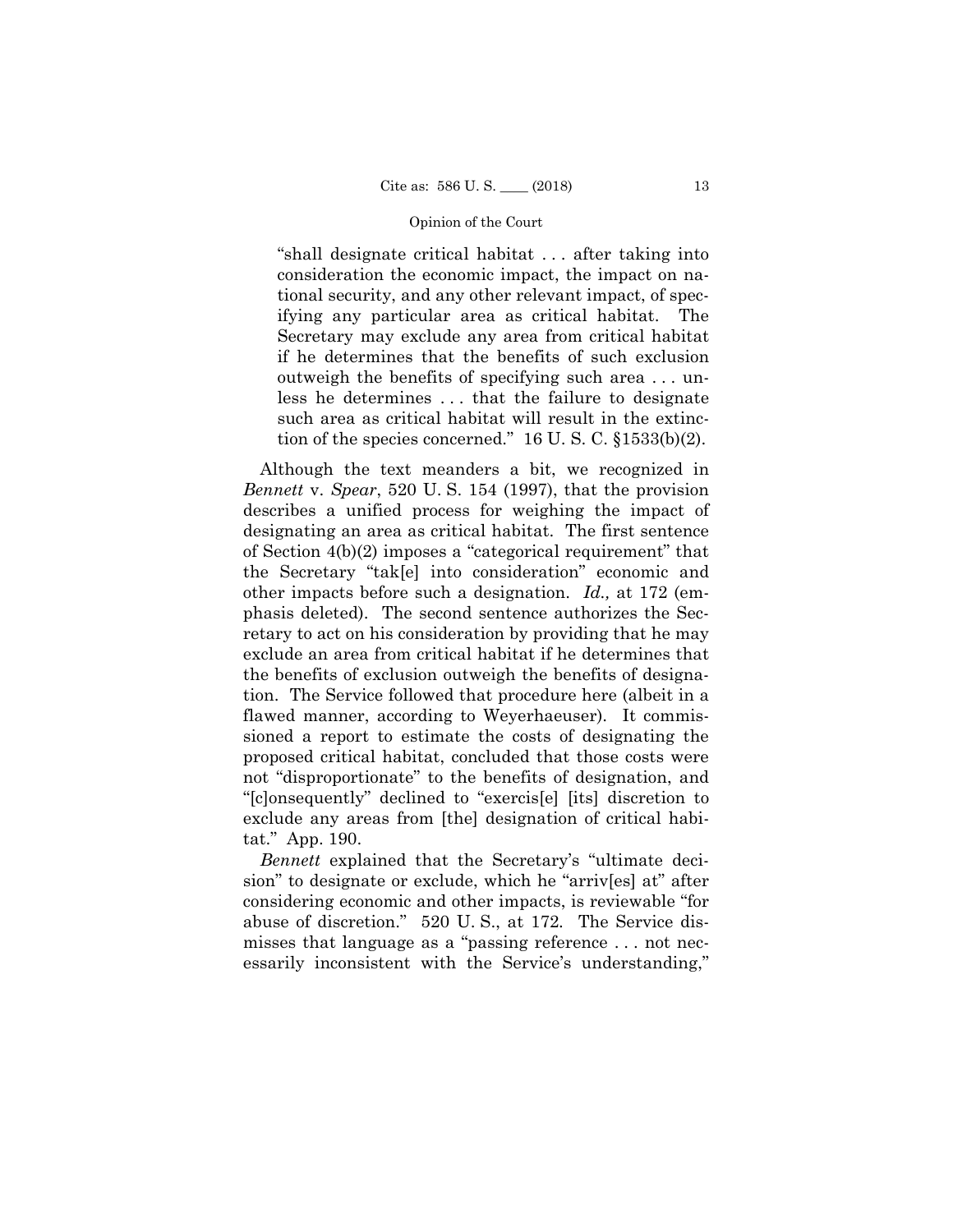"shall designate critical habitat . . . after taking into consideration the economic impact, the impact on national security, and any other relevant impact, of specifying any particular area as critical habitat. The Secretary may exclude any area from critical habitat if he determines that the benefits of such exclusion outweigh the benefits of specifying such area . . . unless he determines . . . that the failure to designate such area as critical habitat will result in the extinction of the species concerned."  $16 \text{ U}$ . S. C.  $\S 1533(b)(2)$ .

Although the text meanders a bit, we recognized in *Bennett* v. *Spear*, 520 U. S. 154 (1997), that the provision describes a unified process for weighing the impact of designating an area as critical habitat. The first sentence of Section 4(b)(2) imposes a "categorical requirement" that the Secretary "tak[e] into consideration" economic and other impacts before such a designation. *Id.,* at 172 (emphasis deleted). The second sentence authorizes the Secretary to act on his consideration by providing that he may exclude an area from critical habitat if he determines that the benefits of exclusion outweigh the benefits of designation. The Service followed that procedure here (albeit in a flawed manner, according to Weyerhaeuser). It commissioned a report to estimate the costs of designating the proposed critical habitat, concluded that those costs were not "disproportionate" to the benefits of designation, and "[c]onsequently" declined to "exercis[e] [its] discretion to exclude any areas from [the] designation of critical habitat." App. 190.

*Bennett* explained that the Secretary's "ultimate decision" to designate or exclude, which he "arriv[es] at" after considering economic and other impacts, is reviewable "for abuse of discretion." 520 U. S., at 172*.* The Service dismisses that language as a "passing reference . . . not necessarily inconsistent with the Service's understanding,"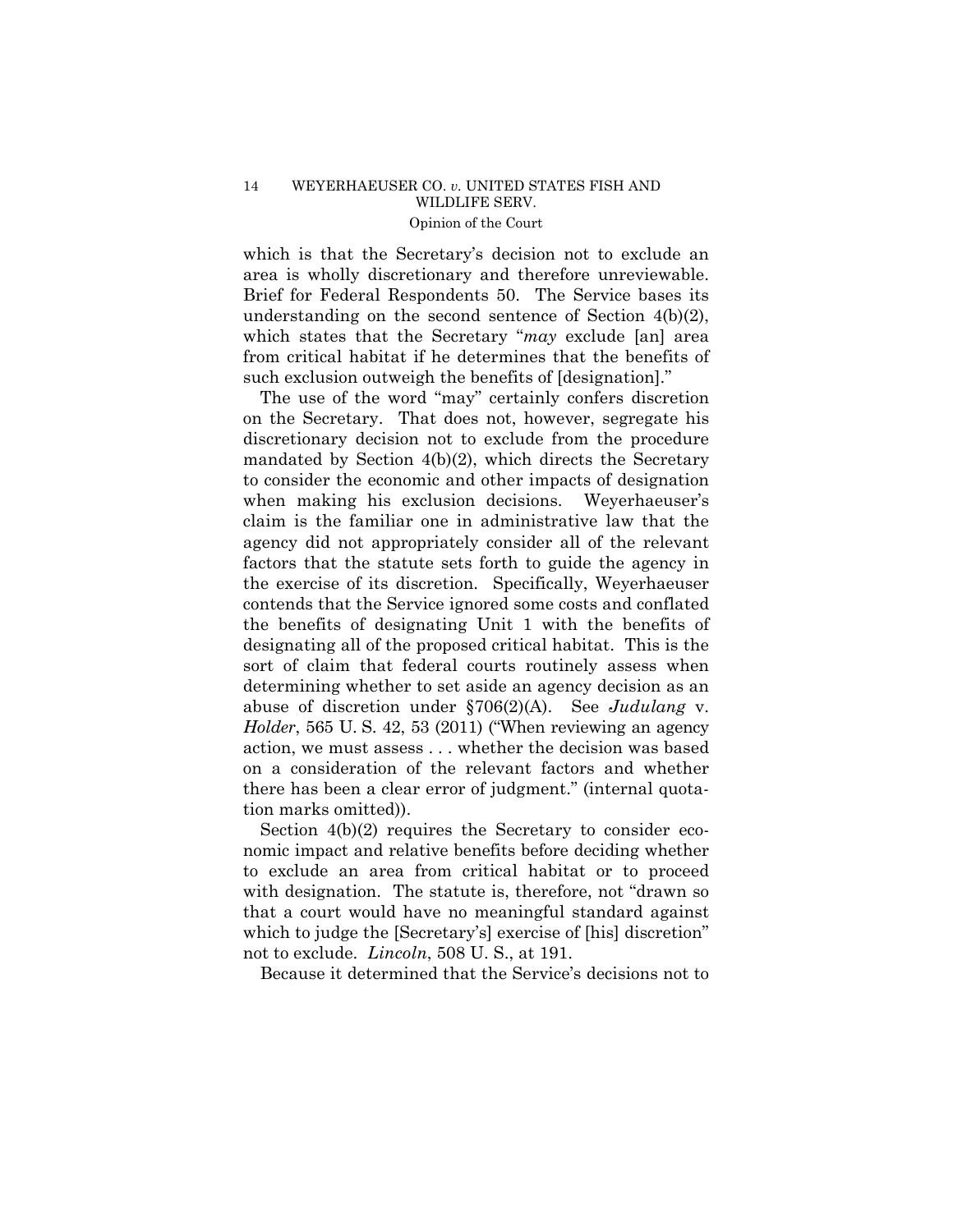which is that the Secretary's decision not to exclude an area is wholly discretionary and therefore unreviewable. Brief for Federal Respondents 50. The Service bases its understanding on the second sentence of Section 4(b)(2), which states that the Secretary "*may* exclude [an] area from critical habitat if he determines that the benefits of such exclusion outweigh the benefits of [designation]."

 *Holder*, 565 U. S. 42, 53 (2011) ("When reviewing an agency The use of the word "may" certainly confers discretion on the Secretary. That does not, however, segregate his discretionary decision not to exclude from the procedure mandated by Section 4(b)(2), which directs the Secretary to consider the economic and other impacts of designation when making his exclusion decisions. Weyerhaeuser's claim is the familiar one in administrative law that the agency did not appropriately consider all of the relevant factors that the statute sets forth to guide the agency in the exercise of its discretion. Specifically, Weyerhaeuser contends that the Service ignored some costs and conflated the benefits of designating Unit 1 with the benefits of designating all of the proposed critical habitat. This is the sort of claim that federal courts routinely assess when determining whether to set aside an agency decision as an abuse of discretion under §706(2)(A). See *Judulang* v. action, we must assess . . . whether the decision was based on a consideration of the relevant factors and whether there has been a clear error of judgment." (internal quotation marks omitted)).

Section  $4(b)(2)$  requires the Secretary to consider economic impact and relative benefits before deciding whether to exclude an area from critical habitat or to proceed with designation. The statute is, therefore, not "drawn so that a court would have no meaningful standard against which to judge the [Secretary's] exercise of [his] discretion" not to exclude. *Lincoln*, 508 U. S., at 191.

Because it determined that the Service's decisions not to